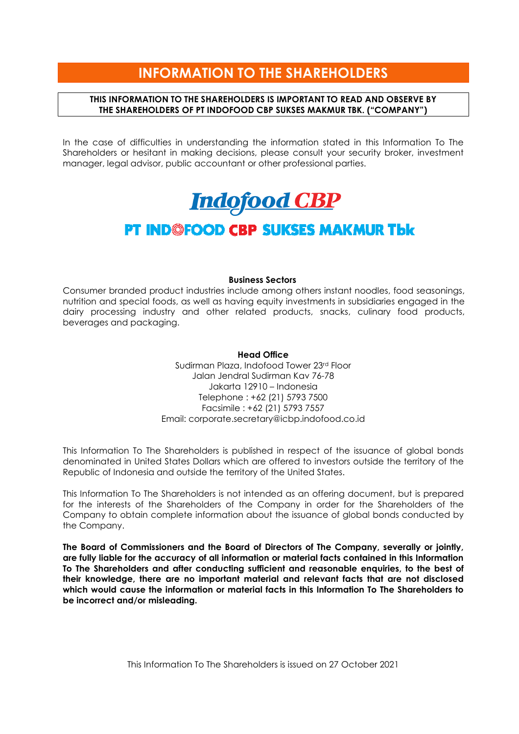# INFORMATION TO THE SHAREHOLDERS

#### THIS INFORMATION TO THE SHAREHOLDERS IS IMPORTANT TO READ AND OBSERVE BY THE SHAREHOLDERS OF PT INDOFOOD CBP SUKSES MAKMUR TBK. ("COMPANY")

In the case of difficulties in understanding the information stated in this Information To The Shareholders or hesitant in making decisions, please consult your security broker, investment manager, legal advisor, public accountant or other professional parties.



#### Business Sectors

Consumer branded product industries include among others instant noodles, food seasonings, nutrition and special foods, as well as having equity investments in subsidiaries engaged in the dairy processing industry and other related products, snacks, culinary food products, beverages and packaging. ing decisions, please consult your security broker, investment<br>ccountant or other professional parties.<br> **Independent CRP SUKSES MAKMUR Tbk**<br> **Business Sectors**<br>
ustries include among others instant noodles, food seasoning

#### Head Office

Sudirman Plaza, Indofood Tower 23rd Floor Email: corporate.secretary@icbp.indofood.co.id Jalan Jendral Sudirman Kav 76-78 Jakarta 12910 – Indonesia Telephone : +62 (21) 5793 7500 Facsimile : +62 (21) 5793 7557

This Information To The Shareholders is published in respect of the issuance of global bonds denominated in United States Dollars which are offered to investors outside the territory of the Republic of Indonesia and outside the territory of the United States.

This Information To The Shareholders is not intended as an offering document, but is for the interests of the Shareholders of the Company in order for the Shareholders of the Company to obtain complete information about the issuance of global bonds conducted by the Company.

The Board of Commissioners and the Board of Directors of The Company, severally f severally or jointly, are fully liable for the accuracy of all information or material facts contained contained in this Information To The Shareholders and after conducting sufficient and reasonable enquiries enquiries, to the best of their knowledge, there are no important material and relevant facts that are are not disclosed which would cause the information or material facts in this Information To The Shareholders to be incorrect and/or misleading.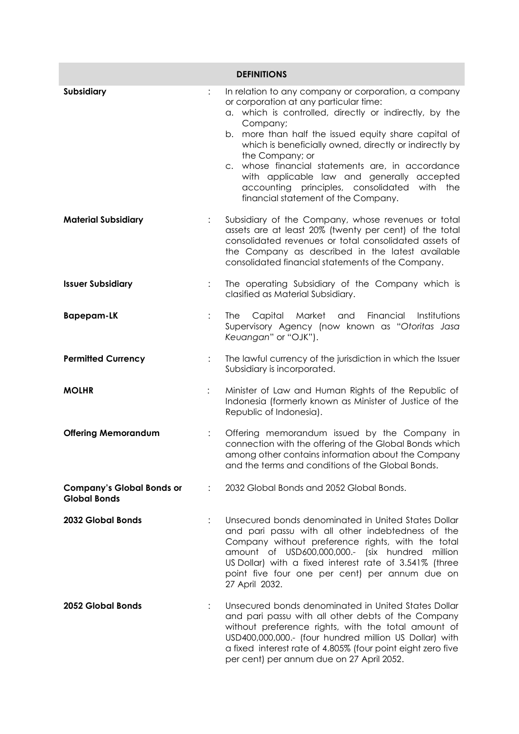|                                                         |                      | <b>DEFINITIONS</b>                                                                                                                                                                                                                                                                                                                                                                                                                                                                                 |
|---------------------------------------------------------|----------------------|----------------------------------------------------------------------------------------------------------------------------------------------------------------------------------------------------------------------------------------------------------------------------------------------------------------------------------------------------------------------------------------------------------------------------------------------------------------------------------------------------|
| <b>Subsidiary</b>                                       |                      | In relation to any company or corporation, a company<br>or corporation at any particular time:<br>a. which is controlled, directly or indirectly, by the<br>Company;<br>b. more than half the issued equity share capital of<br>which is beneficially owned, directly or indirectly by<br>the Company; or<br>c. whose financial statements are, in accordance<br>with applicable law and generally accepted<br>accounting principles, consolidated with the<br>financial statement of the Company. |
| <b>Material Subsidiary</b>                              | $\ddot{\phantom{a}}$ | Subsidiary of the Company, whose revenues or total<br>assets are at least 20% (twenty per cent) of the total<br>consolidated revenues or total consolidated assets of<br>the Company as described in the latest available<br>consolidated financial statements of the Company.                                                                                                                                                                                                                     |
| <b>Issuer Subsidiary</b>                                | $\ddot{\phantom{0}}$ | The operating Subsidiary of the Company which is<br>clasified as Material Subsidiary.                                                                                                                                                                                                                                                                                                                                                                                                              |
| <b>Bapepam-LK</b>                                       | $\ddot{\cdot}$       | Capital Market and<br>Financial Institutions<br>The<br>Supervisory Agency (now known as "Otoritas Jasa<br>Keuangan" or "OJK").                                                                                                                                                                                                                                                                                                                                                                     |
| <b>Permitted Currency</b>                               |                      | The lawful currency of the jurisdiction in which the Issuer<br>Subsidiary is incorporated.                                                                                                                                                                                                                                                                                                                                                                                                         |
| <b>MOLHR</b>                                            | $\ddot{\cdot}$       | Minister of Law and Human Rights of the Republic of<br>Indonesia (formerly known as Minister of Justice of the<br>Republic of Indonesia).                                                                                                                                                                                                                                                                                                                                                          |
| <b>Offering Memorandum</b>                              | ÷                    | Offering memorandum issued by the Company in<br>connection with the offering of the Global Bonds which<br>among other contains information about the Company<br>and the terms and conditions of the Global Bonds.                                                                                                                                                                                                                                                                                  |
| <b>Company's Global Bonds or</b><br><b>Global Bonds</b> |                      | 2032 Global Bonds and 2052 Global Bonds.                                                                                                                                                                                                                                                                                                                                                                                                                                                           |
| 2032 Global Bonds                                       |                      | Unsecured bonds denominated in United States Dollar<br>and pari passu with all other indebtedness of the<br>Company without preference rights, with the total<br>amount of USD600,000,000.- (six hundred million<br>US Dollar) with a fixed interest rate of 3.541% (three<br>point five four one per cent) per annum due on<br>27 April 2032.                                                                                                                                                     |
| <b>2052 Global Bonds</b>                                |                      | Unsecured bonds denominated in United States Dollar<br>and pari passu with all other debts of the Company<br>without preference rights, with the total amount of<br>USD400,000,000.- (four hundred million US Dollar) with<br>a fixed interest rate of 4.805% (four point eight zero five<br>per cent) per annum due on 27 April 2052.                                                                                                                                                             |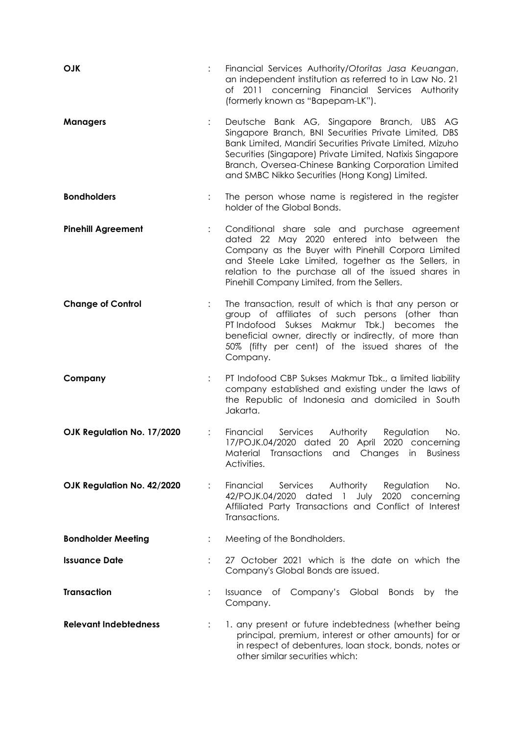| <b>OJK</b>                   |                      | Financial Services Authority/Otoritas Jasa Keuangan,<br>an independent institution as referred to in Law No. 21<br>of 2011 concerning Financial Services Authority<br>(formerly known as "Bapepam-LK").                                                                                                                               |
|------------------------------|----------------------|---------------------------------------------------------------------------------------------------------------------------------------------------------------------------------------------------------------------------------------------------------------------------------------------------------------------------------------|
| <b>Managers</b>              |                      | Deutsche Bank AG, Singapore Branch, UBS AG<br>Singapore Branch, BNI Securities Private Limited, DBS<br>Bank Limited, Mandiri Securities Private Limited, Mizuho<br>Securities (Singapore) Private Limited, Natixis Singapore<br>Branch, Oversea-Chinese Banking Corporation Limited<br>and SMBC Nikko Securities (Hong Kong) Limited. |
| <b>Bondholders</b>           | $\ddot{\cdot}$       | The person whose name is registered in the register<br>holder of the Global Bonds.                                                                                                                                                                                                                                                    |
| <b>Pinehill Agreement</b>    | $\ddot{\cdot}$       | Conditional share sale and purchase agreement<br>dated 22 May 2020 entered into between the<br>Company as the Buyer with Pinehill Corpora Limited<br>and Steele Lake Limited, together as the Sellers, in<br>relation to the purchase all of the issued shares in<br>Pinehill Company Limited, from the Sellers.                      |
| <b>Change of Control</b>     |                      | The transaction, result of which is that any person or<br>group of affiliates of such persons (other than<br>PT Indofood Sukses Makmur Tbk.) becomes the<br>beneficial owner, directly or indirectly, of more than<br>50% (fifty per cent) of the issued shares of the<br>Company.                                                    |
| Company                      | $\ddot{\cdot}$       | PT Indofood CBP Sukses Makmur Tbk., a limited liability<br>company established and existing under the laws of<br>the Republic of Indonesia and domiciled in South<br>Jakarta.                                                                                                                                                         |
| OJK Regulation No. 17/2020   | $\ddot{\phantom{a}}$ | Services<br>Authority<br>Regulation<br>Financial<br>No.<br>17/POJK.04/2020 dated 20 April 2020 concerning<br>Material Transactions and Changes in Business<br>Activities.                                                                                                                                                             |
| OJK Regulation No. 42/2020   | $\ddot{\cdot}$       | Financial<br>Services Authority<br>Regulation<br>No.<br>42/POJK.04/2020 dated 1 July 2020 concerning<br>Affiliated Party Transactions and Conflict of Interest<br>Transactions.                                                                                                                                                       |
| <b>Bondholder Meeting</b>    | $\ddot{\cdot}$       | Meeting of the Bondholders.                                                                                                                                                                                                                                                                                                           |
| <b>Issuance Date</b>         |                      | 27 October 2021 which is the date on which the<br>Company's Global Bonds are issued.                                                                                                                                                                                                                                                  |
| <b>Transaction</b>           | $\ddot{\cdot}$       | Issuance of Company's Global Bonds by the<br>Company.                                                                                                                                                                                                                                                                                 |
| <b>Relevant Indebtedness</b> | $\ddot{\cdot}$       | 1. any present or future indebtedness (whether being<br>principal, premium, interest or other amounts) for or<br>in respect of debentures, loan stock, bonds, notes or<br>other similar securities which:                                                                                                                             |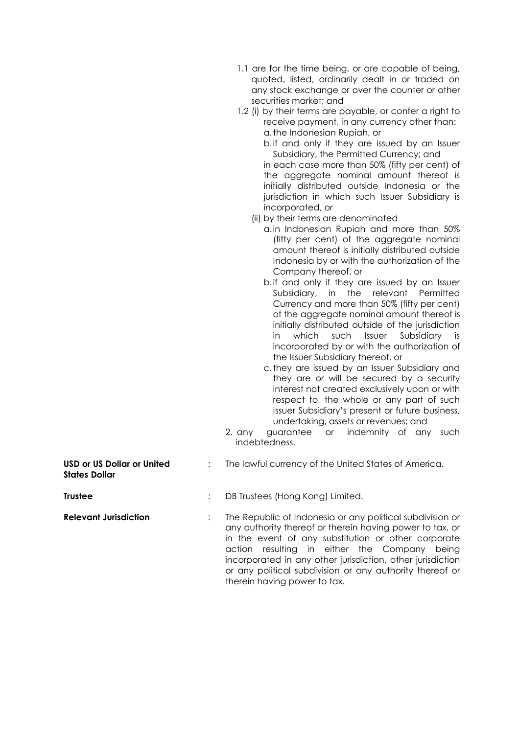| 1.1 are for the time being, or are capable of being, |
|------------------------------------------------------|
| quoted, listed, ordinarily dealt in or traded on     |
| any stock exchange or over the counter or other      |
| securities market; and                               |

- 1.2 (i) by their terms are payable, or confer a right to receive payment, in any currency other than: a.the Indonesian Rupiah, or
	- b.if and only if they are issued by an Issuer Subsidiary, the Permitted Currency; and

in each case more than 50% (fifty per cent) of the aggregate nominal amount thereof is initially distributed outside Indonesia or the jurisdiction in which such Issuer Subsidiary is incorporated, or

- (ii) by their terms are denominated
	- a.in Indonesian Rupiah and more than 50% (fifty per cent) of the aggregate nominal amount thereof is initially distributed outside Indonesia by or with the authorization of the Company thereof, or
	- b.if and only if they are issued by an Issuer Subsidiary, in the relevant Permitted Currency and more than 50% (fifty per cent) of the aggregate nominal amount thereof is initially distributed outside of the jurisdiction in which such Issuer Subsidiary is incorporated by or with the authorization of the Issuer Subsidiary thereof, or
	- c.they are issued by an Issuer Subsidiary and they are or will be secured by a security interest not created exclusively upon or with respect to, the whole or any part of such Issuer Subsidiary's present or future business, undertaking, assets or revenues; and
- 2. any guarantee or indemnity of any such indebtedness.

#### USD or US Dollar or United States Dollar : The lawful currency of the United States of America.

Trustee : DB Trustees (Hong Kong) Limited.

**Relevant Jurisdiction :** The Republic of Indonesia or any political subdivision or any authority thereof or therein having power to tax, or in the event of any substitution or other corporate action resulting in either the Company being incorporated in any other jurisdiction, other jurisdiction or any political subdivision or any authority thereof or therein having power to tax.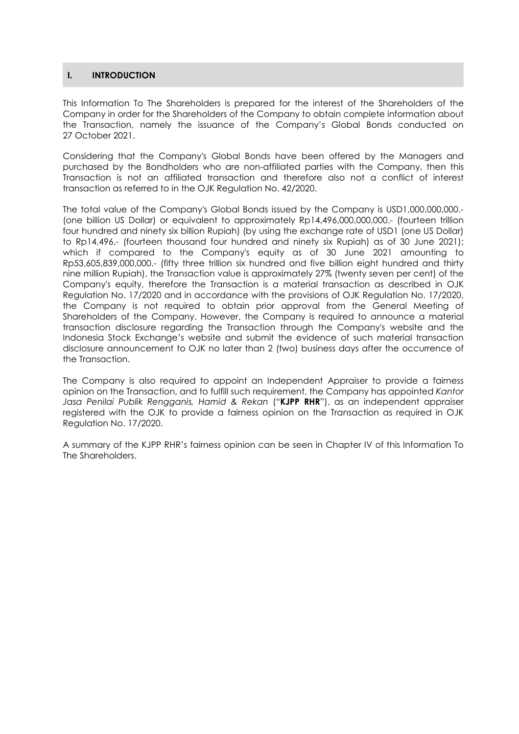#### **I.** INTRODUCTION

This Information To The Shareholders is prepared for the interest of the Shareholders of the Company in order for the Shareholders of the Company to obtain complete information about the Transaction, namely the issuance of the Company's Global Bonds conducted on 27 October 2021.

Considering that the Company's Global Bonds have been offered by the Managers and purchased by the Bondholders who are non-affiliated parties with the Company, then this Transaction is not an affiliated transaction and therefore also not a conflict of interest transaction as referred to in the OJK Regulation No. 42/2020.

The total value of the Company's Global Bonds issued by the Company is USD1,000,000,000. (one billion US Dollar) or equivalent to approximately Rp14,496,000,000,000.- (fourteen trillion four hundred and ninety six billion Rupiah) (by using the exchange rate of USD1 (one US Dollar) to Rp14,496,- (fourteen thousand four hundred and ninety six Rupiah) as of 30 June 2021); which if compared to the Company's equity as of 30 June 2021 amounting to Rp53,605,839,000,000.- (fifty three trillion six hundred and five billion eight hundred and thirty nine million Rupiah), the Transaction value is approximately 27% (twenty seven per cent) of the Company's equity, therefore the Transaction is a material transaction as described in OJK Regulation No. 17/2020 and in accordance with the provisions of OJK Regulation No. 17/2020, the Company is not required to obtain prior approval from the General Meeting of Shareholders of the Company. However, the Company is required to announce a material transaction disclosure regarding the Transaction through the Company's website and the Indonesia Stock Exchange's website and submit the evidence of such material transaction disclosure announcement to OJK no later than 2 (two) business days after the occurrence of the Transaction.

The Company is also required to appoint an Independent Appraiser to provide a fairness opinion on the Transaction, and to fulfill such requirement, the Company has appointed Kantor Jasa Penilai Publik Rengganis, Hamid & Rekan ("KJPP RHR"), as an independent appraiser registered with the OJK to provide a fairness opinion on the Transaction as required in OJK Regulation No. 17/2020.

A summary of the KJPP RHR's fairness opinion can be seen in Chapter IV of this Information To The Shareholders.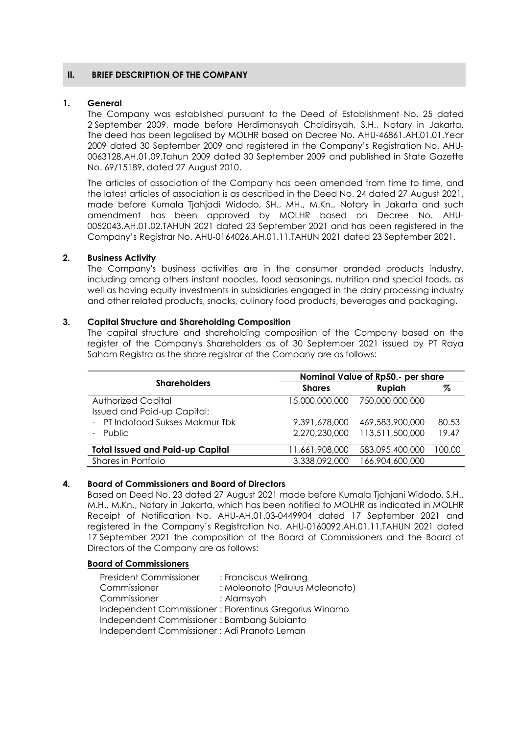#### **II.** BRIEF DESCRIPTION OF THE COMPANY

#### 1. General

The Company was established pursuant to the Deed of Establishment No. 25 dated 2 September 2009, made before Herdimansyah Chaidirsyah, S.H., Notary in Jakarta. The deed has been legalised by MOLHR based on Decree No. AHU-46861.AH.01.01.Year 2009 dated 30 September 2009 and registered in the Company's Registration No. AHU-0063128.AH.01.09.Tahun 2009 dated 30 September 2009 and published in State Gazette No. 69/15189, dated 27 August 2010.

The articles of association of the Company has been amended from time to time, and the latest articles of association is as described in the Deed No. 24 dated 27 August 2021, made before Kumala Tjahjadi Widodo, SH., MH., M.Kn., Notary in Jakarta and such amendment has been approved by MOLHR based on Decree No. AHU-0052043.AH.01.02.TAHUN 2021 dated 23 September 2021 and has been registered in the Company's Registrar No. AHU-0164026.AH.01.11.TAHUN 2021 dated 23 September 2021.

#### 2. Business Activity

The Company's business activities are in the consumer branded products industry, including among others instant noodles, food seasonings, nutrition and special foods, as well as having equity investments in subsidiaries engaged in the dairy processing industry and other related products, snacks, culinary food products, beverages and packaging.

#### 3. Capital Structure and Shareholding Composition

The capital structure and shareholding composition of the Company based on the register of the Company's Shareholders as of 30 September 2021 issued by PT Raya Saham Registra as the share registrar of the Company are as follows:

|                                         | Nominal Value of Rp50.- per share |                 |        |  |
|-----------------------------------------|-----------------------------------|-----------------|--------|--|
| <b>Shareholders</b>                     | <b>Shares</b>                     | <b>Rupiah</b>   | %      |  |
| <b>Authorized Capital</b>               | 15,000,000,000                    | 750,000,000,000 |        |  |
| <b>Issued and Paid-up Capital:</b>      |                                   |                 |        |  |
| - PT Indofood Sukses Makmur Tbk         | 9,391,678,000                     | 469,583,900,000 | 80.53  |  |
| <b>Public</b>                           | 2,270,230,000                     | 113,511,500,000 | 19.47  |  |
| <b>Total Issued and Paid-up Capital</b> | 11,661,908,000                    | 583,095,400,000 | 100.00 |  |
| Shares in Portfolio                     | 3,338,092,000                     | 166,904,600,000 |        |  |

#### 4. Board of Commissioners and Board of Directors

Based on Deed No. 23 dated 27 August 2021 made before Kumala Tjahjani Widodo, S.H., M.H., M.Kn., Notary in Jakarta, which has been notified to MOLHR as indicated in MOLHR Receipt of Notification No. AHU-AH.01.03-0449904 dated 17 September 2021 and registered in the Company's Registration No. AHU-0160092.AH.01.11.TAHUN 2021 dated 17 September 2021 the composition of the Board of Commissioners and the Board of Directors of the Company are as follows:

#### Board of Commissioners

| <b>President Commissioner</b>               | : Franciscus Welirang                                   |
|---------------------------------------------|---------------------------------------------------------|
| Commissioner                                | : Moleonoto (Paulus Moleonoto)                          |
| Commissioner                                | : Alamsyah                                              |
|                                             | Independent Commissioner: Florentinus Gregorius Winarno |
| Independent Commissioner: Bambang Subianto  |                                                         |
| Independent Commissioner: Adi Pranoto Leman |                                                         |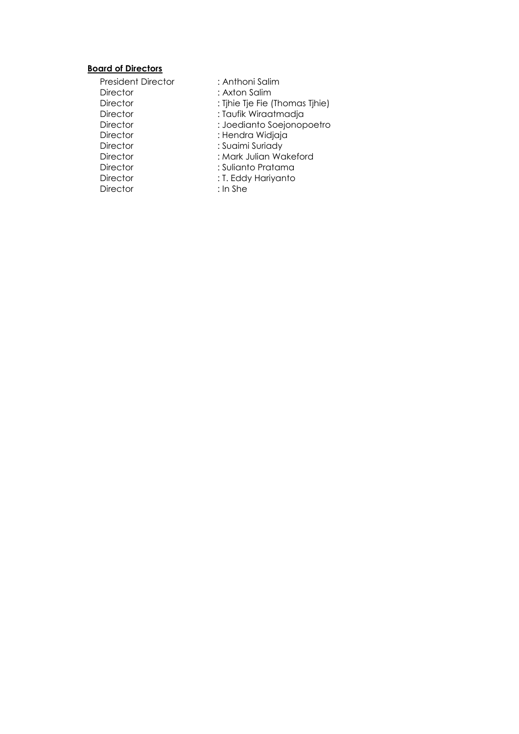#### Board of Directors

Director : In She

President Director : Anthoni Salim<br>Director : Axton Salim : Axton Salim Director : Tjhie Tje Fie (Thomas Tjhie)<br>Director : Taufik Wiraatmadja : Taufik Wiraatmadja Director : Joedianto Soejonopoetro Director : Hendra Widjaja Director : Suaimi Suriady Director : Mark Julian Wakeford<br>Director : Sulianto Pratama Director : Sulianto Pratama<br>Director : T. Eddy Hariyanto : T. Eddy Hariyanto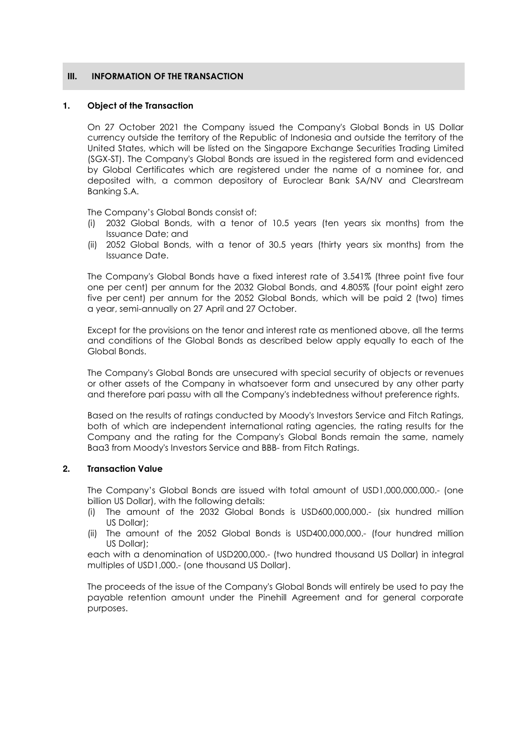#### **III. INFORMATION OF THE TRANSACTION**

#### **1.** Object of the Transaction

On 27 October 2021 the Company issued the Company's Global Bonds in US Dollar currency outside the territory of the Republic of Indonesia and outside the territory of the United States, which will be listed on the Singapore Exchange Securities Trading Limited (SGX-ST). The Company's Global Bonds are issued in the registered form and evidenced by Global Certificates which are registered under the name of a nominee for, and deposited with, a common depository of Euroclear Bank SA/NV and Clearstream Banking S.A.

The Company's Global Bonds consist of:

- (i) 2032 Global Bonds, with a tenor of 10.5 years (ten years six months) from the Issuance Date; and
- (ii) 2052 Global Bonds, with a tenor of 30.5 years (thirty years six months) from the Issuance Date.

The Company's Global Bonds have a fixed interest rate of 3.541% (three point five four one per cent) per annum for the 2032 Global Bonds, and 4.805% (four point eight zero five per cent) per annum for the 2052 Global Bonds, which will be paid 2 (two) times a year, semi-annually on 27 April and 27 October.

Except for the provisions on the tenor and interest rate as mentioned above, all the terms and conditions of the Global Bonds as described below apply equally to each of the Global Bonds.

The Company's Global Bonds are unsecured with special security of objects or revenues or other assets of the Company in whatsoever form and unsecured by any other party and therefore pari passu with all the Company's indebtedness without preference rights.

Based on the results of ratings conducted by Moody's Investors Service and Fitch Ratings, both of which are independent international rating agencies, the rating results for the Company and the rating for the Company's Global Bonds remain the same, namely Baa3 from Moody's Investors Service and BBB- from Fitch Ratings.

#### **2.** Transaction Value

The Company's Global Bonds are issued with total amount of USD1,000,000,000.- (one billion US Dollar), with the following details:

- (i) The amount of the 2032 Global Bonds is USD600,000,000.- (six hundred million US Dollar);
- (ii) The amount of the 2052 Global Bonds is USD400,000,000.- (four hundred million US Dollar);

each with a denomination of USD200,000.- (two hundred thousand US Dollar) in integral multiples of USD1,000.- (one thousand US Dollar).

The proceeds of the issue of the Company's Global Bonds will entirely be used to pay the payable retention amount under the Pinehill Agreement and for general corporate purposes.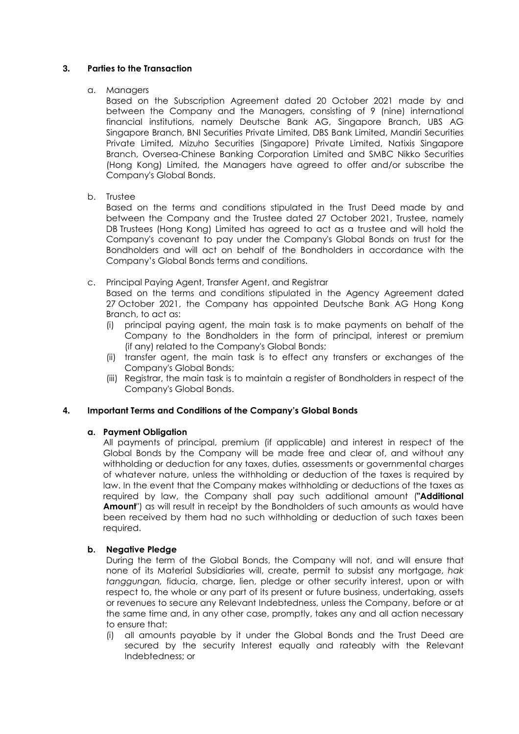#### **3.** Parties to the Transaction

#### a. Managers

Based on the Subscription Agreement dated 20 October 2021 made by and between the Company and the Managers, consisting of 9 (nine) international financial institutions, namely Deutsche Bank AG, Singapore Branch, UBS AG Singapore Branch, BNI Securities Private Limited, DBS Bank Limited, Mandiri Securities Private Limited, Mizuho Securities (Singapore) Private Limited, Natixis Singapore Branch, Oversea-Chinese Banking Corporation Limited and SMBC Nikko Securities (Hong Kong) Limited, the Managers have agreed to offer and/or subscribe the Company's Global Bonds.

b. Trustee

Based on the terms and conditions stipulated in the Trust Deed made by and between the Company and the Trustee dated 27 October 2021, Trustee, namely DB Trustees (Hong Kong) Limited has agreed to act as a trustee and will hold the Company's covenant to pay under the Company's Global Bonds on trust for the Bondholders and will act on behalf of the Bondholders in accordance with the Company's Global Bonds terms and conditions.

- c. Principal Paying Agent, Transfer Agent, and Registrar Based on the terms and conditions stipulated in the Agency Agreement dated 27 October 2021, the Company has appointed Deutsche Bank AG Hong Kong
	- Branch, to act as:
	- (i) principal paying agent, the main task is to make payments on behalf of the Company to the Bondholders in the form of principal, interest or premium (if any) related to the Company's Global Bonds;
	- (ii) transfer agent, the main task is to effect any transfers or exchanges of the Company's Global Bonds;
	- (iii) Registrar, the main task is to maintain a register of Bondholders in respect of the Company's Global Bonds.

#### **4.** Important Terms and Conditions of the Company's Global Bonds

#### a. Payment Obligation

All payments of principal, premium (if applicable) and interest in respect of the Global Bonds by the Company will be made free and clear of, and without any withholding or deduction for any taxes, duties, assessments or governmental charges of whatever nature, unless the withholding or deduction of the taxes is required by law. In the event that the Company makes withholding or deductions of the taxes as required by law, the Company shall pay such additional amount ("**Additional** Amount") as will result in receipt by the Bondholders of such amounts as would have been received by them had no such withholding or deduction of such taxes been required.

#### b. Negative Pledge

During the term of the Global Bonds, the Company will not, and will ensure that none of its Material Subsidiaries will, create, permit to subsist any mortgage, hak tanggungan, fiducia, charge, lien, pledge or other security interest, upon or with respect to, the whole or any part of its present or future business, undertaking, assets or revenues to secure any Relevant Indebtedness, unless the Company, before or at the same time and, in any other case, promptly, takes any and all action necessary to ensure that:

(i) all amounts payable by it under the Global Bonds and the Trust Deed are secured by the security Interest equally and rateably with the Relevant Indebtedness; or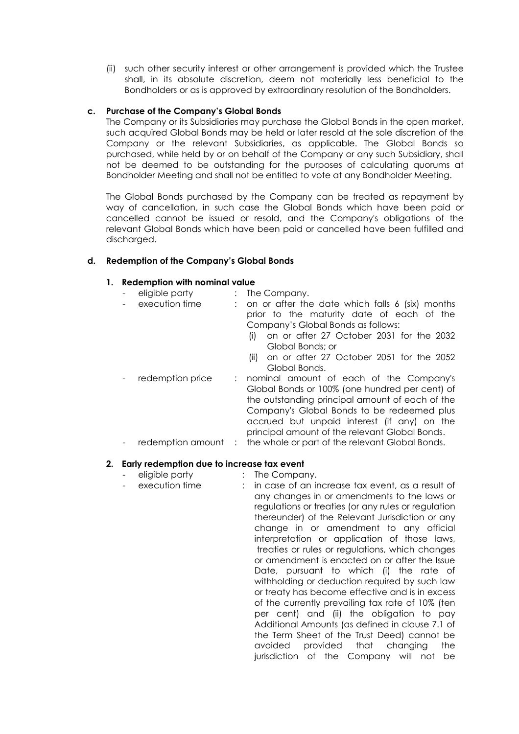(ii) such other security interest or other arrangement is provided which the Trustee shall, in its absolute discretion, deem not materially less beneficial to the Bondholders or as is approved by extraordinary resolution of the Bondholders.

#### c. Purchase of the Company's Global Bonds

The Company or its Subsidiaries may purchase the Global Bonds in the open market, such acquired Global Bonds may be held or later resold at the sole discretion of the Company or the relevant Subsidiaries, as applicable. The Global Bonds so purchased, while held by or on behalf of the Company or any such Subsidiary, shall not be deemed to be outstanding for the purposes of calculating quorums at Bondholder Meeting and shall not be entitled to vote at any Bondholder Meeting.

The Global Bonds purchased by the Company can be treated as repayment by way of cancellation, in such case the Global Bonds which have been paid or cancelled cannot be issued or resold, and the Company's obligations of the relevant Global Bonds which have been paid or cancelled have been fulfilled and discharaed.

#### d. Redemption of the Company's Global Bonds

## 1. Redemption with nominal value

| eligible party    |                           | The Company.                                                                                                                                                                                                                                                                                |
|-------------------|---------------------------|---------------------------------------------------------------------------------------------------------------------------------------------------------------------------------------------------------------------------------------------------------------------------------------------|
| execution time    |                           | on or after the date which falls 6 (six) months<br>prior to the maturity date of each of the<br>Company's Global Bonds as follows:                                                                                                                                                          |
|                   |                           | on or after 27 October 2031 for the 2032<br>(i)<br>Global Bonds: or                                                                                                                                                                                                                         |
|                   |                           | on or after 27 October 2051 for the 2052<br>(11)<br>Global Bonds.                                                                                                                                                                                                                           |
| redemption price  | $\mathbb{R}^{\mathbb{Z}}$ | nominal amount of each of the Company's<br>Global Bonds or 100% (one hundred per cent) of<br>the outstanding principal amount of each of the<br>Company's Global Bonds to be redeemed plus<br>accrued but unpaid interest (if any) on the<br>principal amount of the relevant Global Bonds. |
| redemption amount | $\ddot{\phantom{0}}$      | the whole or part of the relevant Global Bonds.                                                                                                                                                                                                                                             |

#### 2. Early redemption due to increase tax event

eligible party : The Company. execution time : in case of an increase tax event, as a result of any changes in or amendments to the laws or regulations or treaties (or any rules or regulation thereunder) of the Relevant Jurisdiction or any change in or amendment to any official interpretation or application of those laws, treaties or rules or regulations, which changes or amendment is enacted on or after the Issue Date, pursuant to which (i) the rate of withholding or deduction required by such law or treaty has become effective and is in excess of the currently prevailing tax rate of 10% (ten per cent) and (ii) the obligation to pay Additional Amounts (as defined in clause 7.1 of the Term Sheet of the Trust Deed) cannot be avoided provided that changing the jurisdiction of the Company will not be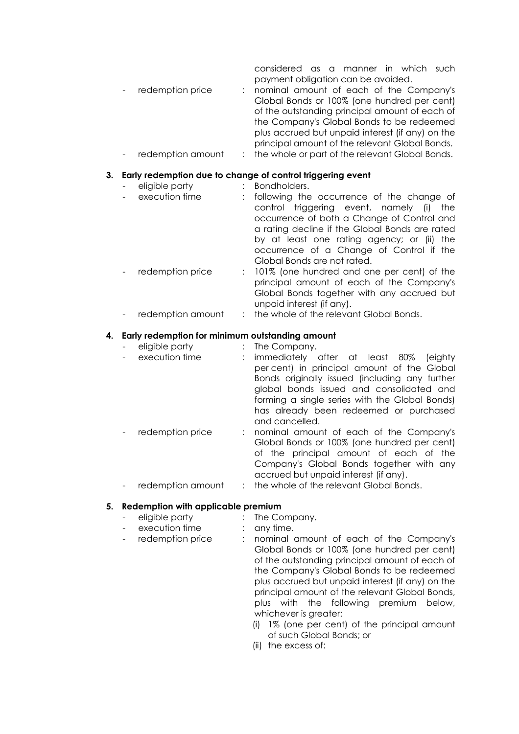considered as a manner in which such payment obligation can be avoided.

- redemption price : nominal amount of each of the Company's Global Bonds or 100% (one hundred per cent) of the outstanding principal amount of each of the Company's Global Bonds to be redeemed plus accrued but unpaid interest (if any) on the principal amount of the relevant Global Bonds. redemption amount : the whole or part of the relevant Global Bonds.
- 

#### 3. Early redemption due to change of control triggering event

- eligible party : Bondholders.
- execution time : following the occurrence of the change of control triggering event, namely (i) the occurrence of both a Change of Control and a rating decline if the Global Bonds are rated by at least one rating agency; or (ii) the occurrence of a Change of Control if the Global Bonds are not rated.
- redemption price : 101% (one hundred and one per cent) of the principal amount of each of the Company's Global Bonds together with any accrued but unpaid interest (if any).
	- redemption amount : the whole of the relevant Global Bonds.

#### 4. Early redemption for minimum outstanding amount

- eligible party : The Company.
- execution time : immediately after at least 80% (eighty per cent) in principal amount of the Global Bonds originally issued (including any further global bonds issued and consolidated and forming a single series with the Global Bonds) has already been redeemed or purchased and cancelled. redemption price : nominal amount of each of the Company's
	- Global Bonds or 100% (one hundred per cent) of the principal amount of each of the Company's Global Bonds together with any accrued but unpaid interest (if any).
- redemption amount : the whole of the relevant Global Bonds.

#### 5. Redemption with applicable premium

- eligible party : The Company.
	- execution time : any time.
- redemption price : nominal amount of each of the Company's Global Bonds or 100% (one hundred per cent) of the outstanding principal amount of each of the Company's Global Bonds to be redeemed plus accrued but unpaid interest (if any) on the principal amount of the relevant Global Bonds, plus with the following premium below, whichever is greater:
	- (i) 1% (one per cent) of the principal amount of such Global Bonds; or
	- (ii) the excess of: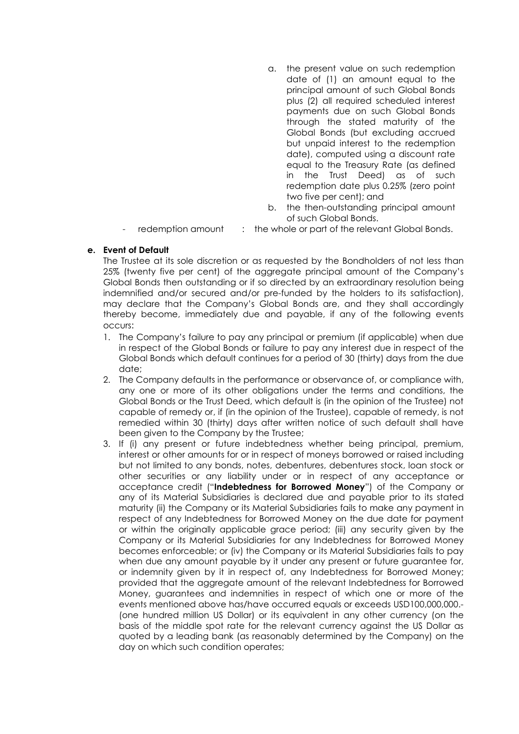- a. the present value on such redemption date of (1) an amount equal to the principal amount of such Global Bonds plus (2) all required scheduled interest payments due on such Global Bonds through the stated maturity of the Global Bonds (but excluding accrued but unpaid interest to the redemption date), computed using a discount rate equal to the Treasury Rate (as defined in the Trust Deed) as of such redemption date plus 0.25% (zero point two five per cent); and
- b. the then-outstanding principal amount of such Global Bonds.
- 
- redemption amount : the whole or part of the relevant Global Bonds.

#### e. Event of Default

The Trustee at its sole discretion or as requested by the Bondholders of not less than 25% (twenty five per cent) of the aggregate principal amount of the Company's Global Bonds then outstanding or if so directed by an extraordinary resolution being indemnified and/or secured and/or pre-funded by the holders to its satisfaction), may declare that the Company's Global Bonds are, and they shall accordingly thereby become, immediately due and payable, if any of the following events occurs:

- 1. The Company's failure to pay any principal or premium (if applicable) when due in respect of the Global Bonds or failure to pay any interest due in respect of the Global Bonds which default continues for a period of 30 (thirty) days from the due date;
- 2. The Company defaults in the performance or observance of, or compliance with, any one or more of its other obligations under the terms and conditions, the Global Bonds or the Trust Deed, which default is (in the opinion of the Trustee) not capable of remedy or, if (in the opinion of the Trustee), capable of remedy, is not remedied within 30 (thirty) days after written notice of such default shall have been given to the Company by the Trustee;
- 3. If (i) any present or future indebtedness whether being principal, premium, interest or other amounts for or in respect of moneys borrowed or raised including but not limited to any bonds, notes, debentures, debentures stock, loan stock or other securities or any liability under or in respect of any acceptance or acceptance credit ("Indebtedness for Borrowed Money") of the Company or any of its Material Subsidiaries is declared due and payable prior to its stated maturity (ii) the Company or its Material Subsidiaries fails to make any payment in respect of any Indebtedness for Borrowed Money on the due date for payment or within the originally applicable grace period; (iii) any security given by the Company or its Material Subsidiaries for any Indebtedness for Borrowed Money becomes enforceable; or (iv) the Company or its Material Subsidiaries fails to pay when due any amount payable by it under any present or future guarantee for, or indemnity given by it in respect of, any Indebtedness for Borrowed Money; provided that the aggregate amount of the relevant Indebtedness for Borrowed Money, guarantees and indemnities in respect of which one or more of the events mentioned above has/have occurred equals or exceeds USD100,000,000.-(one hundred million US Dollar) or its equivalent in any other currency (on the basis of the middle spot rate for the relevant currency against the US Dollar as quoted by a leading bank (as reasonably determined by the Company) on the day on which such condition operates;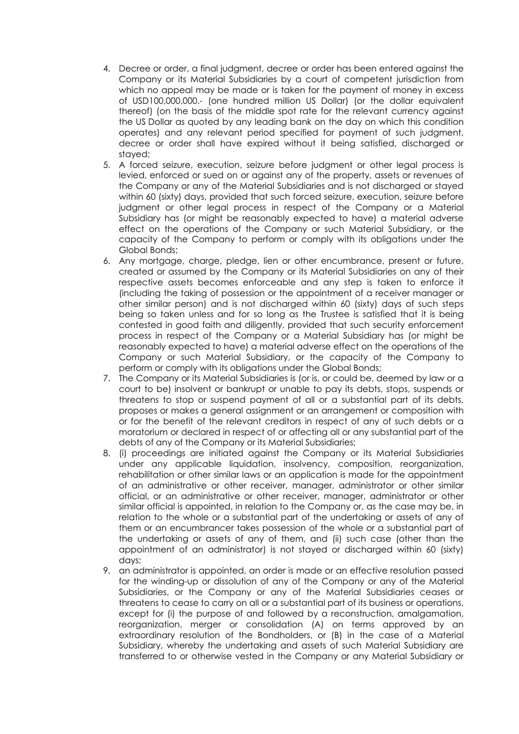- 4. Decree or order, a final judgment, decree or order has been entered against the Company or its Material Subsidiaries by a court of competent jurisdiction from which no appeal may be made or is taken for the payment of money in excess of USD100,000,000.- (one hundred million US Dollar) (or the dollar equivalent thereof) (on the basis of the middle spot rate for the relevant currency against the US Dollar as quoted by any leading bank on the day on which this condition operates) and any relevant period specified for payment of such judgment, decree or order shall have expired without it being satisfied, discharged or stayed;
- 5. A forced seizure, execution, seizure before judgment or other legal process is levied, enforced or sued on or against any of the property, assets or revenues of the Company or any of the Material Subsidiaries and is not discharged or stayed within 60 (sixty) days, provided that such forced seizure, execution, seizure before judgment or other legal process in respect of the Company or a Material Subsidiary has (or might be reasonably expected to have) a material adverse effect on the operations of the Company or such Material Subsidiary, or the capacity of the Company to perform or comply with its obligations under the Global Bonds;
- 6. Any mortgage, charge, pledge, lien or other encumbrance, present or future, created or assumed by the Company or its Material Subsidiaries on any of their respective assets becomes enforceable and any step is taken to enforce it (including the taking of possession or the appointment of a receiver manager or other similar person) and is not discharged within 60 (sixty) days of such steps being so taken unless and for so long as the Trustee is satisfied that it is being contested in good faith and diligently, provided that such security enforcement process in respect of the Company or a Material Subsidiary has (or might be reasonably expected to have) a material adverse effect on the operations of the Company or such Material Subsidiary, or the capacity of the Company to perform or comply with its obligations under the Global Bonds;
- 7. The Company or its Material Subsidiaries is (or is, or could be, deemed by law or a court to be) insolvent or bankrupt or unable to pay its debts, stops, suspends or threatens to stop or suspend payment of all or a substantial part of its debts, proposes or makes a general assignment or an arrangement or composition with or for the benefit of the relevant creditors in respect of any of such debts or a moratorium or declared in respect of or affecting all or any substantial part of the debts of any of the Company or its Material Subsidiaries;
- 8. (i) proceedings are initiated against the Company or its Material Subsidiaries under any applicable liquidation, insolvency, composition, reorganization, rehabilitation or other similar laws or an application is made for the appointment of an administrative or other receiver, manager, administrator or other similar official, or an administrative or other receiver, manager, administrator or other similar official is appointed, in relation to the Company or, as the case may be, in relation to the whole or a substantial part of the undertaking or assets of any of them or an encumbrancer takes possession of the whole or a substantial part of the undertaking or assets of any of them, and (ii) such case (other than the appointment of an administrator) is not stayed or discharged within 60 (sixty) days;
- 9. an administrator is appointed, an order is made or an effective resolution passed for the winding-up or dissolution of any of the Company or any of the Material Subsidiaries, or the Company or any of the Material Subsidiaries ceases or threatens to cease to carry on all or a substantial part of its business or operations, except for (i) the purpose of and followed by a reconstruction, amalgamation, reorganization, merger or consolidation (A) on terms approved by an extraordinary resolution of the Bondholders, or (B) in the case of a Material Subsidiary, whereby the undertaking and assets of such Material Subsidiary are transferred to or otherwise vested in the Company or any Material Subsidiary or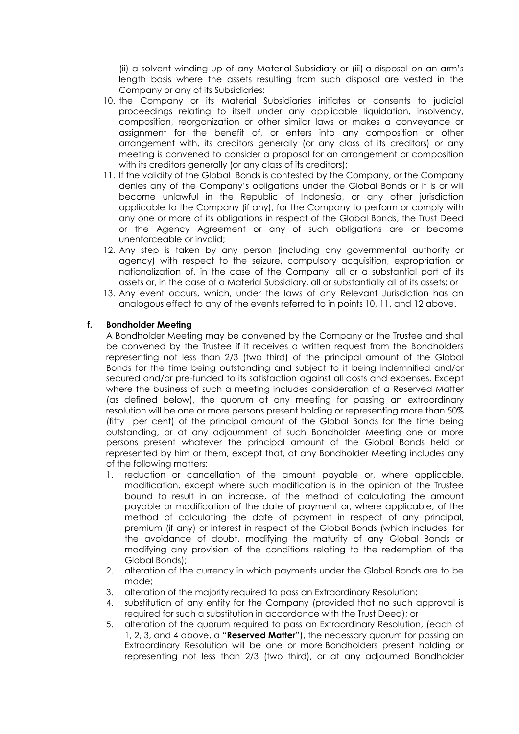(ii) a solvent winding up of any Material Subsidiary or (iii) a disposal on an arm's length basis where the assets resulting from such disposal are vested in the Company or any of its Subsidiaries;

- 10. the Company or its Material Subsidiaries initiates or consents to judicial proceedings relating to itself under any applicable liquidation, insolvency, composition, reorganization or other similar laws or makes a conveyance or assignment for the benefit of, or enters into any composition or other arrangement with, its creditors generally (or any class of its creditors) or any meeting is convened to consider a proposal for an arrangement or composition with its creditors generally (or any class of its creditors);
- 11. If the validity of the Global Bonds is contested by the Company, or the Company denies any of the Company's obligations under the Global Bonds or it is or will become unlawful in the Republic of Indonesia, or any other jurisdiction applicable to the Company (if any), for the Company to perform or comply with any one or more of its obligations in respect of the Global Bonds, the Trust Deed or the Agency Agreement or any of such obligations are or become unenforceable or invalid;
- 12. Any step is taken by any person (including any governmental authority or agency) with respect to the seizure, compulsory acquisition, expropriation or nationalization of, in the case of the Company, all or a substantial part of its assets or, in the case of a Material Subsidiary, all or substantially all of its assets; or
- 13. Any event occurs, which, under the laws of any Relevant Jurisdiction has an analogous effect to any of the events referred to in points 10, 11, and 12 above.

#### f. Bondholder Meeting

A Bondholder Meeting may be convened by the Company or the Trustee and shall be convened by the Trustee if it receives a written request from the Bondholders representing not less than 2/3 (two third) of the principal amount of the Global Bonds for the time being outstanding and subject to it being indemnified and/or secured and/or pre-funded to its satisfaction against all costs and expenses. Except where the business of such a meeting includes consideration of a Reserved Matter (as defined below), the quorum at any meeting for passing an extraordinary resolution will be one or more persons present holding or representing more than 50% (fifty per cent) of the principal amount of the Global Bonds for the time being outstanding, or at any adjournment of such Bondholder Meeting one or more persons present whatever the principal amount of the Global Bonds held or represented by him or them, except that, at any Bondholder Meeting includes any of the following matters:

- 1. reduction or cancellation of the amount payable or, where applicable, modification, except where such modification is in the opinion of the Trustee bound to result in an increase, of the method of calculating the amount payable or modification of the date of payment or, where applicable, of the method of calculating the date of payment in respect of any principal, premium (if any) or interest in respect of the Global Bonds (which includes, for the avoidance of doubt, modifying the maturity of any Global Bonds or modifying any provision of the conditions relating to the redemption of the Global Bonds);
- 2. alteration of the currency in which payments under the Global Bonds are to be made;
- 3. alteration of the majority required to pass an Extraordinary Resolution;
- 4. substitution of any entity for the Company (provided that no such approval is required for such a substitution in accordance with the Trust Deed); or
- 5. alteration of the quorum required to pass an Extraordinary Resolution, (each of 1, 2, 3, and 4 above, a "**Reserved Matter**"), the necessary quorum for passing an Extraordinary Resolution will be one or more Bondholders present holding or representing not less than 2/3 (two third), or at any adjourned Bondholder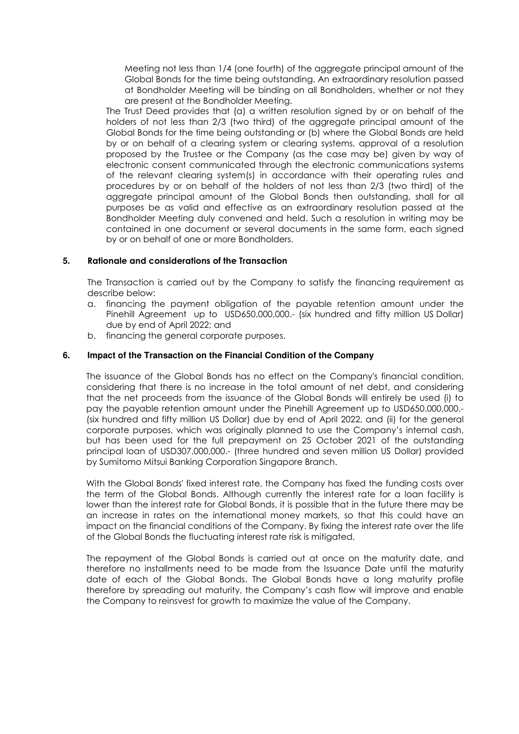Meeting not less than 1/4 (one fourth) of the aggregate principal amount of the Global Bonds for the time being outstanding. An extraordinary resolution passed at Bondholder Meeting will be binding on all Bondholders, whether or not they are present at the Bondholder Meeting.

The Trust Deed provides that (a) a written resolution signed by or on behalf of the holders of not less than 2/3 (two third) of the aggregate principal amount of the Global Bonds for the time being outstanding or (b) where the Global Bonds are held by or on behalf of a clearing system or clearing systems, approval of a resolution proposed by the Trustee or the Company (as the case may be) given by way of electronic consent communicated through the electronic communications systems of the relevant clearing system(s) in accordance with their operating rules and procedures by or on behalf of the holders of not less than 2/3 (two third) of the aggregate principal amount of the Global Bonds then outstanding, shall for all purposes be as valid and effective as an extraordinary resolution passed at the Bondholder Meeting duly convened and held. Such a resolution in writing may be contained in one document or several documents in the same form, each signed by or on behalf of one or more Bondholders.

#### **5.** Rationale and considerations of the Transaction

The Transaction is carried out by the Company to satisfy the financing requirement as describe below:

- a. financing the payment obligation of the payable retention amount under the Pinehill Agreement up to USD650,000,000.- (six hundred and fifty million US Dollar) due by end of April 2022; and
- b. financing the general corporate purposes.

#### **6. Impact of the Transaction on the Financial Condition of the Company**

The issuance of the Global Bonds has no effect on the Company's financial condition, considering that there is no increase in the total amount of net debt, and considering that the net proceeds from the issuance of the Global Bonds will entirely be used (i) to pay the payable retention amount under the Pinehill Agreement up to USD650,000,000.- (six hundred and fifty million US Dollar) due by end of April 2022, and (ii) for the general corporate purposes, which was originally planned to use the Company's internal cash, but has been used for the full prepayment on 25 October 2021 of the outstanding principal loan of USD307,000,000.- (three hundred and seven million US Dollar) provided by Sumitomo Mitsui Banking Corporation Singapore Branch.

With the Global Bonds' fixed interest rate, the Company has fixed the funding costs over the term of the Global Bonds. Although currently the interest rate for a loan facility is lower than the interest rate for Global Bonds, it is possible that in the future there may be an increase in rates on the international money markets, so that this could have an impact on the financial conditions of the Company. By fixing the interest rate over the life of the Global Bonds the fluctuating interest rate risk is mitigated.

The repayment of the Global Bonds is carried out at once on the maturity date, and therefore no installments need to be made from the Issuance Date until the maturity date of each of the Global Bonds. The Global Bonds have a long maturity profile therefore by spreading out maturity, the Company's cash flow will improve and enable the Company to reinsvest for growth to maximize the value of the Company.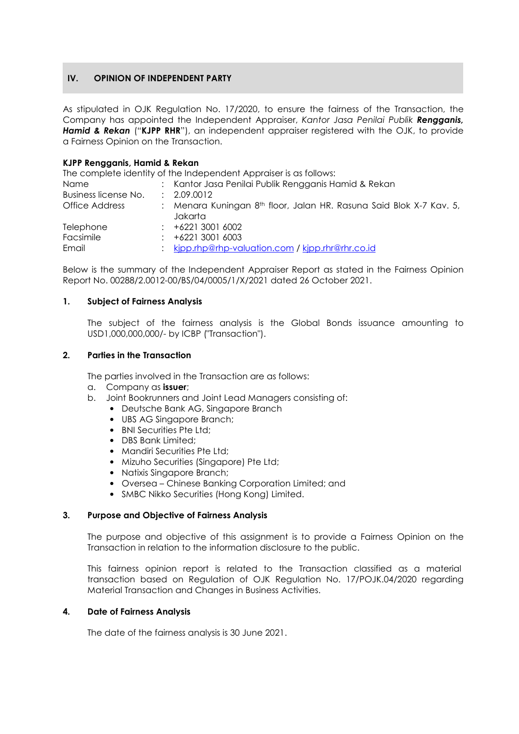#### IV. OPINION OF INDEPENDENT PARTY

As stipulated in OJK Regulation No. 17/2020, to ensure the fairness of the Transaction, the Company has appointed the Independent Appraiser, Kantor Jasa Penilai Publik Rengganis, Hamid & Rekan ("KJPP RHR"), an independent appraiser registered with the OJK, to provide a Fairness Opinion on the Transaction.

#### KJPP Rengganis, Hamid & Rekan

The complete identity of the Independent Appraiser is as follows:

| <b>Name</b>          | : Kantor Jasa Penilai Publik Rengganis Hamid & Rekan              |
|----------------------|-------------------------------------------------------------------|
| Business license No. | : 2.09.0012                                                       |
| Office Address       | Menara Kuningan 8th floor, Jalan HR. Rasuna Said Blok X-7 Kav. 5, |
|                      | Jakarta                                                           |
| Telephone            | +6221 3001 6002                                                   |
| Facsimile            | +6221 3001 6003                                                   |
| Email                | kipp.rhp@rhp-valuation.com / kipp.rhr@rhr.co.id                   |

Below is the summary of the Independent Appraiser Report as stated in the Fairness Opinion Report No. 00288/2.0012-00/BS/04/0005/1/X/2021 dated 26 October 2021.

#### 1. Subject of Fairness Analysis

The subject of the fairness analysis is the Global Bonds issuance amounting to USD1,000,000,000/- by ICBP ("Transaction").

#### 2. Parties in the Transaction

The parties involved in the Transaction are as follows:

- a. Company as issuer;
- b. Joint Bookrunners and Joint Lead Managers consisting of:
	- Deutsche Bank AG, Singapore Branch
		- UBS AG Singapore Branch;
		- BNI Securities Pte Ltd:
		- DBS Bank Limited:
		- Mandiri Securities Pte Ltd;
		- Mizuho Securities (Singapore) Pte Ltd;
		- Natixis Singapore Branch;
		- Oversea Chinese Banking Corporation Limited; and
		- SMBC Nikko Securities (Hong Kong) Limited.

#### 3. Purpose and Objective of Fairness Analysis

The purpose and objective of this assignment is to provide a Fairness Opinion on the Transaction in relation to the information disclosure to the public.

This fairness opinion report is related to the Transaction classified as a material transaction based on Regulation of OJK Regulation No. 17/POJK.04/2020 regarding Material Transaction and Changes in Business Activities.

#### 4. Date of Fairness Analysis

The date of the fairness analysis is 30 June 2021.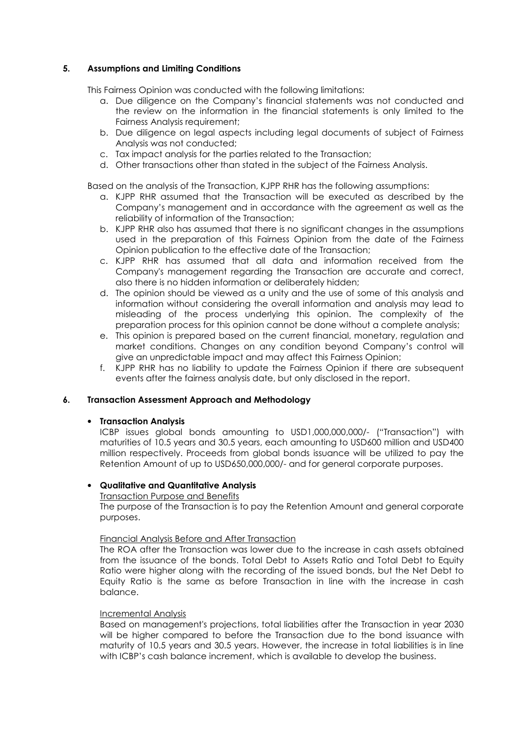#### 5. Assumptions and Limiting Conditions

This Fairness Opinion was conducted with the following limitations:

- a. Due diligence on the Company's financial statements was not conducted and the review on the information in the financial statements is only limited to the Fairness Analysis requirement;
- b. Due diligence on legal aspects including legal documents of subject of Fairness Analysis was not conducted;
- c. Tax impact analysis for the parties related to the Transaction;
- d. Other transactions other than stated in the subject of the Fairness Analysis.

Based on the analysis of the Transaction, KJPP RHR has the following assumptions:

- a. KJPP RHR assumed that the Transaction will be executed as described by the Company's management and in accordance with the agreement as well as the reliability of information of the Transaction;
- b. KJPP RHR also has assumed that there is no significant changes in the assumptions used in the preparation of this Fairness Opinion from the date of the Fairness Opinion publication to the effective date of the Transaction;
- c. KJPP RHR has assumed that all data and information received from the Company's management regarding the Transaction are accurate and correct, also there is no hidden information or deliberately hidden;
- d. The opinion should be viewed as a unity and the use of some of this analysis and information without considering the overall information and analysis may lead to misleading of the process underlying this opinion. The complexity of the preparation process for this opinion cannot be done without a complete analysis;
- e. This opinion is prepared based on the current financial, monetary, regulation and market conditions. Changes on any condition beyond Company's control will give an unpredictable impact and may affect this Fairness Opinion;
- f. KJPP RHR has no liability to update the Fairness Opinion if there are subsequent events after the fairness analysis date, but only disclosed in the report.

#### 6. Transaction Assessment Approach and Methodology

#### • Transaction Analysis

ICBP issues global bonds amounting to USD1,000,000,000/- ("Transaction") with maturities of 10.5 years and 30.5 years, each amounting to USD600 million and USD400 million respectively. Proceeds from global bonds issuance will be utilized to pay the Retention Amount of up to USD650,000,000/- and for general corporate purposes.

#### • Qualitative and Quantitative Analysis

#### Transaction Purpose and Benefits

The purpose of the Transaction is to pay the Retention Amount and general corporate purposes.

#### Financial Analysis Before and After Transaction

The ROA after the Transaction was lower due to the increase in cash assets obtained from the issuance of the bonds. Total Debt to Assets Ratio and Total Debt to Equity Ratio were higher along with the recording of the issued bonds, but the Net Debt to Equity Ratio is the same as before Transaction in line with the increase in cash balance.

#### Incremental Analysis

Based on management's projections, total liabilities after the Transaction in year 2030 will be higher compared to before the Transaction due to the bond issuance with maturity of 10.5 years and 30.5 years. However, the increase in total liabilities is in line with ICBP's cash balance increment, which is available to develop the business.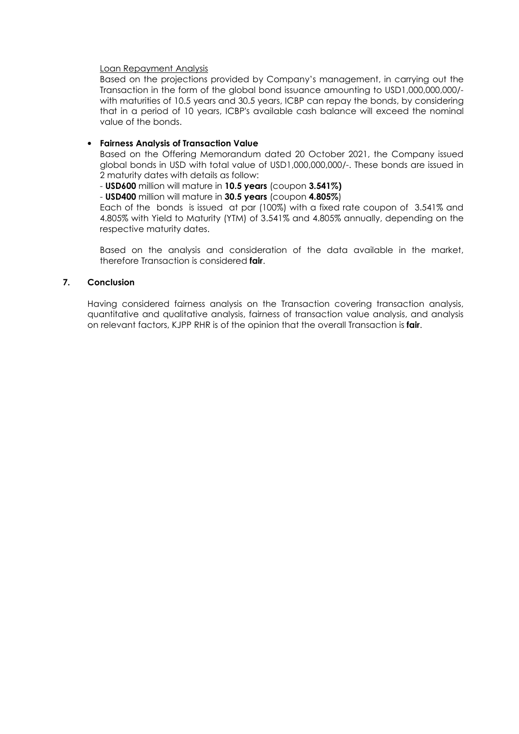#### Loan Repayment Analysis

Based on the projections provided by Company's management, in carrying out the Transaction in the form of the global bond issuance amounting to USD1,000,000,000/ with maturities of 10.5 years and 30.5 years, ICBP can repay the bonds, by considering that in a period of 10 years, ICBP's available cash balance will exceed the nominal value of the bonds.

#### • Fairness Analysis of Transaction Value

Based on the Offering Memorandum dated 20 October 2021, the Company issued global bonds in USD with total value of USD1,000,000,000/-. These bonds are issued in 2 maturity dates with details as follow:

- USD600 million will mature in 10.5 years (coupon 3.541%)

- USD400 million will mature in 30.5 years (coupon 4.805%)

Each of the bonds is issued at par (100%) with a fixed rate coupon of 3.541% and 4.805% with Yield to Maturity (YTM) of 3.541% and 4.805% annually, depending on the respective maturity dates.

Based on the analysis and consideration of the data available in the market, therefore Transaction is considered fair.

#### 7. Conclusion

Having considered fairness analysis on the Transaction covering transaction analysis, quantitative and qualitative analysis, fairness of transaction value analysis, and analysis on relevant factors, KJPP RHR is of the opinion that the overall Transaction is fair.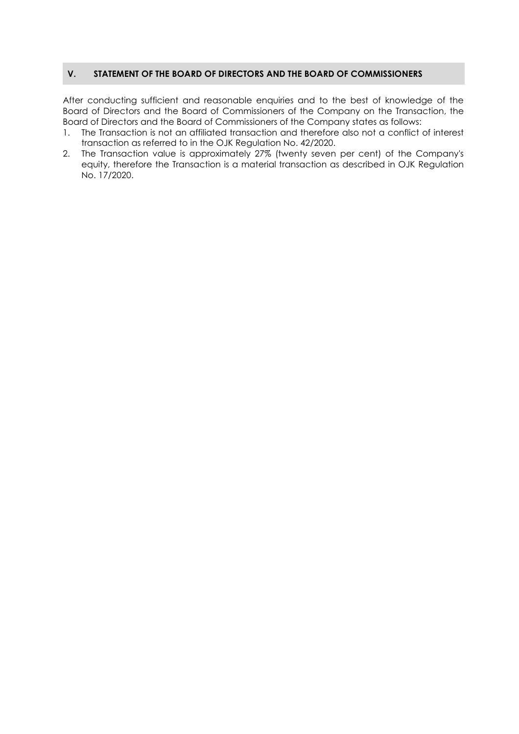#### V. STATEMENT OF THE BOARD OF DIRECTORS AND THE BOARD OF COMMISSIONERS

After conducting sufficient and reasonable enquiries and to the best of knowledge of the Board of Directors and the Board of Commissioners of the Company on the Transaction, the Board of Directors and the Board of Commissioners of the Company states as follows:

- 1. The Transaction is not an affiliated transaction and therefore also not a conflict of interest transaction as referred to in the OJK Regulation No. 42/2020.
- 2. The Transaction value is approximately 27% (twenty seven per cent) of the Company's equity, therefore the Transaction is a material transaction as described in OJK Regulation No. 17/2020.